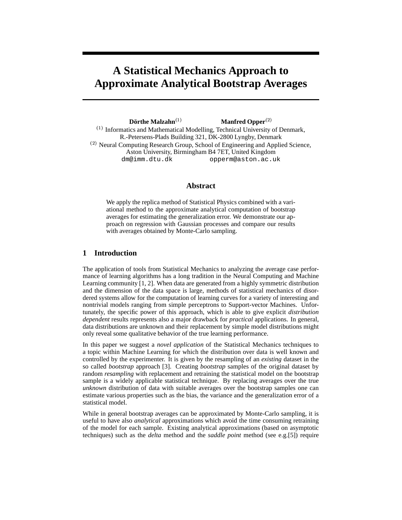# **A Statistical Mechanics Approach to Approximate Analytical Bootstrap Averages**

 $\mathbf{D}\ddot{\mathbf{o}}$ rthe Malzahn $^{(1)}$ **Manfred Opper**  $(1)$  Informatics and Mathematical Modelling, Technical University of Denmark, R.-Petersens-Plads Building 321, DK-2800 Lyngby, Denmark  $(2)$  Neural Computing Research Group, School of Engineering and Applied Science, Aston University, Birmingham B4 7ET, United Kingdom dm@imm.dtu.dk opperm@aston.ac.uk

## **Abstract**

We apply the replica method of Statistical Physics combined with a variational method to the approximate analytical computation of bootstrap averages for estimating the generalization error. We demonstrate our approach on regression with Gaussian processes and compare our results with averages obtained by Monte-Carlo sampling.

# **1 Introduction**

The application of tools from Statistical Mechanics to analyzing the average case performance of learning algorithms has a long tradition in the Neural Computing and Machine Learning community [1, 2]. When data are generated from a highly symmetric distribution and the dimension of the data space is large, methods of statistical mechanics of disordered systems allow for the computation of learning curves for a variety of interesting and nontrivial models ranging from simple perceptrons to Support-vector Machines. Unfortunately, the specific power of this approach, which is able to give explicit *distribution dependent* results represents also a major drawback for *practical* applications. In general, data distributions are unknown and their replacement by simple model distributions might only reveal some qualitative behavior of the true learning performance.

In this paper we suggest a *novel application* of the Statistical Mechanics techniques to a topic within Machine Learning for which the distribution over data is well known and controlled by the experimenter. It is given by the resampling of an *existing* dataset in the so called *bootstrap* approach [3]. Creating *bootstrap* samples of the original dataset by random *resampling* with replacement and retraining the statistical model on the bootstrap sample is a widely applicable statistical technique. By replacing averages over the true *unknown* distribution of data with suitable averages over the bootstrap samples one can estimate various properties such as the bias, the variance and the generalization error of a statistical model.

While in general bootstrap averages can be approximated by Monte-Carlo sampling, it is useful to have also *analytical* approximations which avoid the time consuming retraining of the model for each sample. Existing analytical approximations (based on asymptotic techniques) such as the *delta* method and the *saddle point* method (see e.g.[5]) require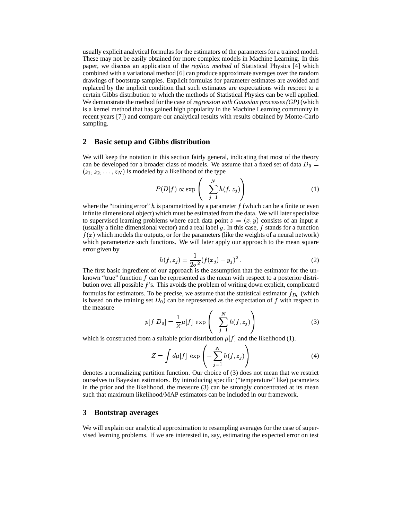usually explicit analytical formulas for the estimators of the parameters for a trained model. These may not be easily obtained for more complex models in Machine Learning. In this paper, we discuss an application of the *replica method* of Statistical Physics [4] which combined with a variational method [6] can produce approximate averages over the random drawings of bootstrap samples. Explicit formulas for parameter estimates are avoided and replaced by the implicit condition that such estimates are expectations with respect to a certain Gibbs distribution to which the methods of Statistical Physics can be well applied. We demonstrate the method for the case of*regression with Gaussian processes (GP)* (which is a kernel method that has gained high popularity in the Machine Learning community in recent years [7]) and compare our analytical results with results obtained by Monte-Carlo sampling.

#### **2 Basic setup and Gibbs distribution**

We will keep the notation in this section fairly general, indicating that most of the theory can be developed for a broader class of models. We assume that a fixed set of data  $D_0 =$  $(z_1, z_2, \ldots, z_N)$  is modeled by a likelihood of the type

$$
P(D|f) \propto \exp\left(-\sum_{j=1}^{N} h(f, z_j)\right) \tag{1}
$$

where the "training error" h is parametrized by a parameter  $f$  (which can be a finite or even infinite dimensional object) which must be estimated from the data. We will later specialize to supervised learning problems where each data point  $z = (x, y)$  consists of an input x (usually a finite dimensional vector) and a real label  $y$ . In this case,  $f$  stands for a function  $f(x)$  which models the outputs, or for the parameters (like the weights of a neural network) which parameterize such functions. We will later apply our approach to the mean square error given by  $\frac{1}{2}$ 

$$
h(f, z_j) = \frac{1}{2\sigma^2} (f(x_j) - y_j)^2.
$$
 (2)

The first basic ingredient of our approach is the assumption that the estimator for the unknown "true" function  $f$  can be represented as the mean with respect to a posterior distribution over all possible  $f$ 's. This avoids the problem of writing down explicit, complicated formulas for estimators. To be precise, we assume that the statistical estimator  $f_{D_0}$  (which is based on the training set  $D_0$  can be represented as the expectation of f with respect to

the measure  
\n
$$
p[f|D_0] = \frac{1}{Z}\mu[f] \exp\left(-\sum_{j=1}^N h(f, z_j)\right)
$$
\nwhich is constructed from a suitable prior distribution  $\mu[f]$  and the likelihood (1). (3)

$$
Z = \int d\mu[f] \, \exp\left(-\sum_{j=1}^{N} h(f, z_j)\right) \tag{4}
$$

denotes a normalizing partition function. Our choice of (3) does not mean that we restrict ourselves to Bayesian estimators. By introducing specific ("temperature" like) parameters in the prior and the likelihood, the measure (3) can be strongly concentrated at its mean such that maximum likelihood/MAP estimators can be included in our framework.

#### **3 Bootstrap averages**

We will explain our analytical approximation to resampling averages for the case of supervised learning problems. If we are interested in, say, estimating the expected error on test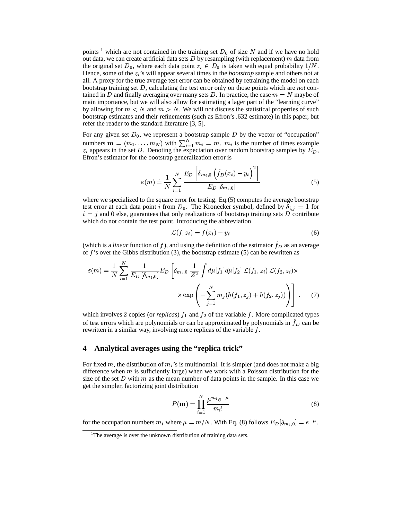points <sup>1</sup> which are not contained in the training set  $D_0$  of size N and if we have no hold out data, we can create artificial data sets  $D$  by resampling (with replacement)  $m$  data from the original set  $D_0$ , where each data point  $z_i \in D_0$  is taken with equal probability  $1/N$ . Hence, some of the  $z_i$ 's will appear several times in the *bootstrap* sample and others not at all. A proxy for the true average test error can be obtained by retraining the model on each bootstrap training set D, calculating the test error only on those points which are *not* contained in D and finally averaging over many sets D. In practice, the case  $m = N$  maybe of main importance, but we will also allow for estimating a lager part of the "learning curve" by allowing for  $m < N$  and  $m > N$ . We will not discuss the statistical properties of such bootstrap estimates and their refinements (such as Efron's .632 estimate) in this paper, but refer the reader to the standard literature [3, 5].

For any given set  $D_0$ , we represent a bootstrap sample D by the vector of "occupation" numbers  $\mathbf{m} = (m_1, \dots, m_N)$  with  $\sum_{i=1}^{N} m_i = m$ .  $m_i$  is the number of times example  $z_i$  appears in the set D. Denoting the expectation over random bootstrap samples by  $E_D$ , Efron's estimator for the bootstrap generalization error is

$$
\varepsilon(m) \doteq \frac{1}{N} \sum_{i=1}^{N} \frac{E_D \left[ \delta_{m_i,0} \left( \hat{f}_D(x_i) - y_i \right)^2 \right]}{E_D \left[ \delta_{m_i,0} \right]}
$$
(5)

where we specialized to the square error for testing. Eq.(5) computes the average bootstrap where we specialized to the square error for testing. Eq.(5) computes the average bootstrap<br>test error at each data point i from  $D_0$ . The Kronecker symbol, defined by  $\delta_{i,j} = 1$  for  $i = j$  and 0 else, guarantees that only realizations of bootstrap training sets D contribute which do not contain the test point. Introducing the abbreviation

$$
\mathcal{L}(f, z_i) = f(x_i) - y_i \tag{6}
$$

and the contract of the contract of the contract of the contract of the contract of the contract of the contract of the contract of the contract of the contract of the contract of the contract of the contract of the contra

(which is a *linear* function of f), and using the definition of the estimator  $\hat{f}_D$  as an average of  $f$ 's over the Gibbs distribution (3), the bootstrap estimate (5) can be rewritten as

$$
\varepsilon(m) = \frac{1}{N} \sum_{i=1}^{N} \frac{1}{E_D \left[\delta_{m_i,0}\right]} E_D \left[ \delta_{m_i,0} \frac{1}{Z^2} \int d\mu[f_1] d\mu[f_2] \mathcal{L}(f_1, z_i) \mathcal{L}(f_2, z_i) \times \exp\left(-\sum_{j=1}^{N} m_j(h(f_1, z_j) + h(f_2, z_j))\right) \right].
$$
 (7)

which involves 2 copies (or *replicas*)  $f_1$  and  $f_2$  of the variable f. More complicated types of test errors which are polynomials or can be approximated by polynomials in  $f<sub>D</sub>$  can be rewritten in a similar way, involving more replicas of the variable  $f$ .

#### **4 Analytical averages using the "replica trick"**

For fixed m, the distribution of  $m_i$ 's is multinomial. It is simpler (and does not make a big difference when  $m$  is sufficiently large) when we work with a Poisson distribution for the size of the set  $D$  with  $m$  as the mean number of data points in the sample. In this case we get the simpler, factorizing joint distribution

$$
P(\mathbf{m}) = \prod_{i=1}^{N} \frac{\mu^{m_i} e^{-\mu}}{m_i!}
$$
 (8)

for the occupation numbers  $m_i$  where  $\mu = m/N$ . With Eq. (8) follows  $E_D[\delta_{m_i,0}] = e^{-\mu}$ .

<sup>&</sup>lt;sup>1</sup>The average is over the unknown distribution of training data sets.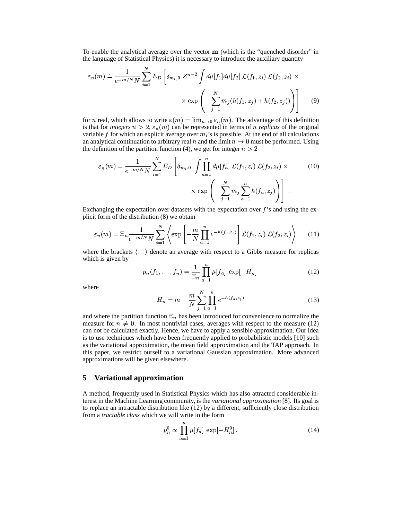To enable the analytical average over the vector  $\bf{m}$  (which is the "quenched disorder" in the language of Statistical Physics) it is necessary to introduce the auxiliary quantity

$$
\varepsilon_n(m) \doteq \frac{1}{e^{-m/N}N} \sum_{i=1}^N E_D \left[ \delta_{m_i,0} Z^{n-2} \int d\mu[f_1] d\mu[f_2] \mathcal{L}(f_1, z_i) \mathcal{L}(f_2, z_i) \times \exp \left( -\sum_{j=1}^N m_j(h(f_1, z_j) + h(f_2, z_j)) \right) \right]
$$
(9)

for *n* real, which allows to write  $\varepsilon(m) = \lim_{n \to 0} \varepsilon_n(m)$ . The advantage of this definition is that for *integers*  $n > 2$ ,  $\varepsilon_n(m)$  can be represented in terms of *n replicas* of the original variable f for which an explicit average over  $m_i$ 's is possible. At the end of all calculations an analytical continuation to arbitrary real n and the limit  $n \to 0$  must be performed. Using the definition of the partition function (4), we get for integer  $n > 2$ 

$$
\varepsilon_n(m) = \frac{1}{e^{-m/N}N} \sum_{i=1}^N E_D \left[ \delta_{m_i,0} \int \prod_{a=1}^n d\mu[f_a] \mathcal{L}(f_1, z_i) \mathcal{L}(f_2, z_i) \times \exp\left(-\sum_{j=1}^N m_j \sum_{a=1}^n h(f_a, z_j)\right) \right].
$$
 (10)

Exchanging the expectation over datasets with the expectation over  $f$ 's and using the explicit form of the distribution (8) we obtain

$$
\varepsilon_n(m) = \Xi_n \frac{1}{e^{-m/N}N} \sum_{i=1}^N \left\langle \exp\left[-\frac{m}{N} \prod_{a=1}^n e^{-h(f_a, z_i)}\right] \mathcal{L}(f_1, z_i) \mathcal{L}(f_2, z_i) \right\rangle \tag{11}
$$

where the brackets  $\langle \ldots \rangle$  denote an average with respect to a Gibbs measure for replicas which is given by

$$
p_n(f_1, ..., f_n) = \frac{1}{\Xi_n} \prod_{a=1}^n \mu[f_a] \, \exp[-H_n]
$$
 (12)

where

$$
H_n = m - \frac{m}{N} \sum_{j=1}^{N} \prod_{a=1}^{n} e^{-h(f_a, z_j)}
$$
(13)

and where the partition function  $\Xi_n$  has been introduced for convenience to normalize the measure for  $n \neq 0$ . In most nontrivial cases, averages with respect to the measure (12) can not be calculated exactly. Hence, we have to apply a sensible approximation. Our idea is to use techniques which have been frequently applied to probabilistic models [10] such as the variational approximation, the mean field approximation and the TAP approach. In this paper, we restrict ourself to a variational Gaussian approximation. More advanced approximations will be given elsewhere.

#### **5 Variational approximation**

A method, frequently used in Statistical Physics which has also attracted considerable interest in the Machine Learning community, is the *variational approximation* [8]. Its goal is to replace an intractable distribution like (12) by a different, sufficiently close distribution from a *tractable class* which we will write in the form

$$
p_n^0 \propto \prod_{a=1}^n \mu[f_a] \, \exp[-H_n^0]. \tag{14}
$$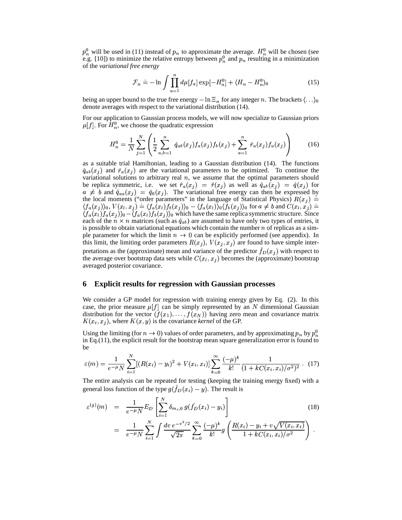$p_n^0$  will be used in (11) instead of  $p_n$  to approximate the average.  $H_n^0$  will be chosen (see<br>e.g. [10]) to minimize the relative entropy between  $p_n^0$  and  $p_n$  resulting in a minimization  $\frac{0}{n}$  and  $p_n$  resulting in a minimization of the *variational free energy*

$$
\mathcal{F}_n \doteq -\ln \int \prod_{a=1}^n d\mu[f_a] \exp[-H_n^0] + \langle H_n - H_n^0 \rangle_0 \tag{15}
$$

being an upper bound to the true free energy  $-\ln \Xi_n$  for any integer n. The brackets  $\langle \ldots \rangle_0$ denote averages with respect to the variational distribution (14).

For our application to Gaussian process models, we will now specialize to Gaussian priors For our application to Gaussian process models, w<br>  $\mu[f]$ . For  $H_n^0$ , we choose the quadratic expression

$$
H_n^0 = \frac{1}{N} \sum_{j=1}^N \left( \frac{1}{2} \sum_{a,b=1}^n \hat{q}_{ab}(x_j) f_a(x_j) f_b(x_j) + \sum_{a=1}^n \hat{r}_a(x_j) f_a(x_j) \right) \tag{16}
$$

as a suitable trial Hamiltonian, leading to a Gaussian distribution (14). The functions  $\hat{q}_{ab}(x_j)$  and  $\hat{r}_a(x_j)$  are the variational parameters to be optimized. To continue the variational solutions to arbitrary real  $n$ , we assume that the optimal parameters should be replica symmetric, i.e. we set  $\hat{r}_a(x_j) = \hat{r}(x_j)$  as well as  $\hat{q}_{ab}(x_j) = \hat{q}(x_j)$  for  $a \neq b$  and  $\hat{q}_{aa}(x_j) = \hat{q}_0(x_j)$ . The variational free energy can then be expressed by the local moments ("order parameters" in the language of Statistical Physics)  $R(x_j)$  =  $\langle f_a(x_i) \rangle_0, V(x_i, x_j) = \langle f_a(x_i) f_b(x_i) \rangle_0 - \langle f_a(x_i) \rangle_0 \langle f_b(x_i) \rangle_0$  for  $a \neq b$  and  $C(x_i, x_j) =$  $\sum_{n=0}^{\infty}$  in the language<br> $\sum_{n=0}^{\infty}$   $(f_a(x_i))_0 \langle f_b(x_i) \rangle$  $\langle f_a(x_l) f_a(x_i) \rangle_0 - \langle f_a(x_l) f_b(x_i) \rangle_0$  which have the same replica symmetric structure. Since  $(x_l, x_j) = \langle f_a(x_l) \rangle$ each of the  $n \times n$  matrices (such as  $\hat{q}_{ab}$ ) are assumed to have only two types of entries, it is possible to obtain variational equations which contain the number  $n$  of replicas as a simple parameter for which the limit  $n \to 0$  can be explicitly performed (see appendix). In this limit, the limiting order parameters  $R(x_i)$ ,  $V(x_i, x_i)$  are found to have simple interpretations as the (approximate) mean and variance of the predictor  $f_D(x_i)$  with respect to the average over bootstrap data sets while  $C(x_i, x_j)$  becomes the (approximate) bootstrap averaged posterior covariance.

#### **6 Explicit results for regression with Gaussian processes**

We consider a GP model for regression with training energy given by Eq. (2). In this case, the prior measure  $\mu[f]$  can be simply represented by an N dimensional Gaussian case, the prior measure  $\mu[f]$  can be simply represented by an N dimensional Gaussian distribution for the vector  $(f(x_1),..., f(x_N))$  having zero mean and covariance matrix  $K(x_i, x_j)$ , where  $K(x, y)$  is the covariance *kernel* of the GP.

 $\mathbf{A}(x_i, x_j)$ , where  $\mathbf{A}(x, y)$  is the covariance *kernet* of the GP.<br>Using the limiting (for  $n \to 0$ ) values of order parameters, and by approximating  $p_n$  by  $p_n^0$ in Eq.(11), the explicit result for the bootstrap mean square generalization error is found to be  $\mathcal{L}(\mathcal{L})$ 

$$
\varepsilon(m) = \frac{1}{e^{-\mu}N} \sum_{i=1}^{N} [(R(x_i) - y_i)^2 + V(x_i, x_i)] \sum_{k=0}^{\infty} \frac{(-\mu)^k}{k!} \frac{1}{(1 + kC(x_i, x_i)/\sigma^2)^2} \,. \tag{17}
$$

The entire analysis can be repeated for testing (keeping the training energy fixed) with a general loss function of the type  $g(f_D(x_i) - y)$ . The result is

$$
\varepsilon^{(g)}(m) = \frac{1}{e^{-\mu}N} E_D \left[ \sum_{i=1}^N \delta_{m_i,0} g(\hat{f}_D(x_i) - y_i) \right]
$$
\n
$$
= \frac{1}{e^{-\mu}N} \sum_{i=1}^N \int \frac{dv \, e^{-v^2/2}}{\sqrt{2\pi}} \sum_{k=0}^\infty \frac{(-\mu)^k}{k!} g\left( \frac{R(x_i) - y_i + v\sqrt{V(x_i, x_i)}}{1 + kC(x_i, x_i)/\sigma^2} \right).
$$
\n(18)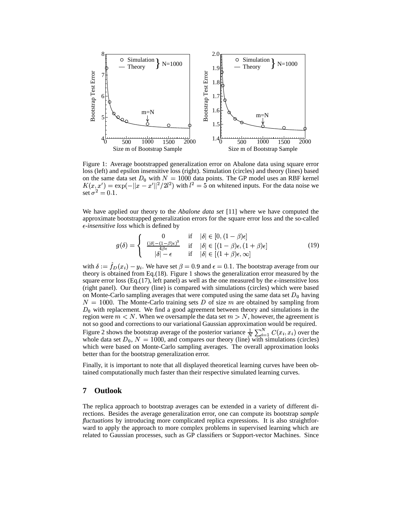

Figure 1: Average bootstrapped generalization error on Abalone data using square error loss (left) and epsilon insensitive loss (right). Simulation (circles) and theory (lines) based on the same data set  $D_0$  with  $N = 1000$  data points. The GP model uses an RBF kernel on the same data set  $D_0$  with  $N = 1000$  data points. The GP model uses an RBF kernel  $K(x, x') = \exp(-||x - x'||^2/2l^2)$  with  $l^2 = 5$  on whitened inputs. For the data noise we set  $\sigma^2 = 0.1$ .

We have applied our theory to the *Abalone data set* [11] where we have computed the approximate bootstrapped generalization errors for the square error loss and the so-called *-insensitive loss* which is defined by

$$
g(\delta) = \begin{cases} 0 & \text{if } |\delta| \in [0, (1-\beta)\epsilon] \\ \frac{(|\delta| - (1-\beta)\epsilon)^2}{4\beta \epsilon} & \text{if } |\delta| \in [(1-\beta)\epsilon, (1+\beta)\epsilon] \\ |\delta| - \epsilon & \text{if } |\delta| \in [(1+\beta)\epsilon, \infty] \end{cases}
$$
(19)

with  $\delta := \hat{f}_D(x_i) - y_i$ . We have We have set  $\beta = 0.9$  and  $\epsilon = 0.1$ . The bootstrap average from our theory is obtained from Eq.(18). Figure 1 shows the generalization error measured by the square error loss (Eq.(17), left panel) as well as the one measured by the  $\epsilon$ -insensitive loss (right panel). Our theory (line) is compared with simulations (circles) which were based on Monte-Carlo sampling averages that were computed using the same data set  $D_0$  having  $N = 1000$ . The Monte-Carlo training sets D of size  $m$  are obtained by sampling from  $D_0$  with replacement. We find a good agreement between theory and simulations in the region were  $m < N$ . When we oversample the data set  $m > N$ , however, the agreement is not so good and corrections to our variational Gaussian approximation would be required. Figure 2 shows the bootstrap average of the posterior variance  $\frac{1}{N}\sum_{i=1}^{N}C(x_i, x_i)$  over the whole data set  $D_0$ ,  $N = 1000$ , and compares our theory (line) with simulations (circles) which were based on Monte-Carlo sampling averages. The overall approximation looks better than for the bootstrap generalization error.

Finally, it is important to note that all displayed theoretical learning curves have been obtained computationally much faster than their respective simulated learning curves.

# **7 Outlook**

The replica approach to bootstrap averages can be extended in a variety of different directions. Besides the average generalization error, one can compute its bootstrap *sample fluctuations* by introducing more complicated replica expressions. It is also straightforward to apply the approach to more complex problems in supervised learning which are related to Gaussian processes, such as GP classifiers or Support-vector Machines. Since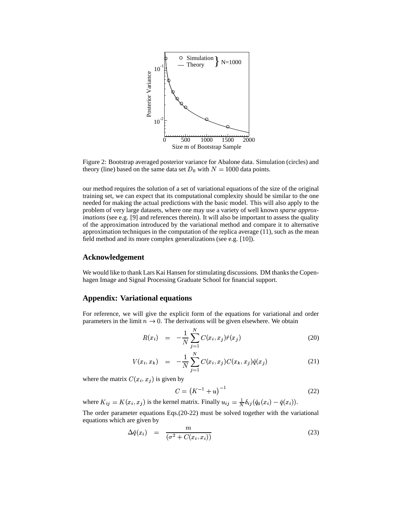

Figure 2: Bootstrap averaged posterior variance for Abalone data. Simulation (circles) and theory (line) based on the same data set  $D_0$  with  $N = 1000$  data points.

our method requires the solution of a set of variational equations of the size of the original training set, we can expect that its computational complexity should be similar to the one needed for making the actual predictions with the basic model. This will also apply to the problem of very large datasets, where one may use a variety of well known *sparse approximations* (see e.g. [9] and references therein). It will also be important to assess the quality of the approximation introduced by the variational method and compare it to alternative approximation techniques in the computation of the replica average (11), such as the mean field method and its more complex generalizations (see e.g. [10]).

#### **Acknowledgement**

We would like to thank Lars Kai Hansen for stimulating discussions. DM thanks the Copenhagen Image and Signal Processing Graduate School for financial support.

## **Appendix: Variational equations**

For reference, we will give the explicit form of the equations for variational and order parameters in the limit  $n \to 0$ . The derivations will be given elsewhere. We obtain

$$
R(x_i) = -\frac{1}{N} \sum_{j=1}^{N} C(x_i, x_j) \hat{r}(x_j)
$$
 (20)

$$
V(x_i, x_k) = -\frac{1}{N} \sum_{j=1}^{N} C(x_i, x_j) C(x_k, x_j) \hat{q}(x_j)
$$
 (21)

where the matrix  $C(x_i, x_j)$  is given by

$$
C = (K^{-1} + u)^{-1}
$$
 (22)

where  $K_{ij} = K(x_i, x_j)$  is the kernel matrix. Finally  $u_{ij} = \frac{1}{N} \delta_{ij} (\hat{q}_0(x_i) - \hat{q}(x_i))$ .  $\hat{q}(x_i)).$ 

The order parameter equations Eqs.(20-22) must be solved together with the variational equations which are given by

$$
\Delta \hat{q}(x_i) = \frac{m}{(\sigma^2 + C(x_i, x_i))}
$$
\n(23)